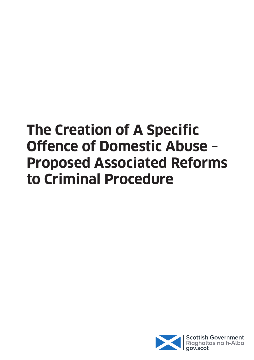# **The Creation of A Specific Offence of Domestic Abuse – Proposed Associated Reforms to Criminal Procedure**

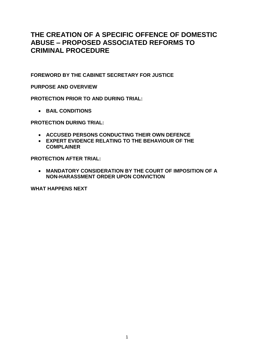# **THE CREATION OF A SPECIFIC OFFENCE OF DOMESTIC ABUSE – PROPOSED ASSOCIATED REFORMS TO CRIMINAL PROCEDURE**

**FOREWORD BY THE CABINET SECRETARY FOR JUSTICE**

**PURPOSE AND OVERVIEW**

**PROTECTION PRIOR TO AND DURING TRIAL:**

**• BAIL CONDITIONS** 

**PROTECTION DURING TRIAL:**

- **ACCUSED PERSONS CONDUCTING THEIR OWN DEFENCE**
- **EXPERT EVIDENCE RELATING TO THE BEHAVIOUR OF THE COMPLAINER**

**PROTECTION AFTER TRIAL:**

 **MANDATORY CONSIDERATION BY THE COURT OF IMPOSITION OF A NON-HARASSMENT ORDER UPON CONVICTION**

**WHAT HAPPENS NEXT**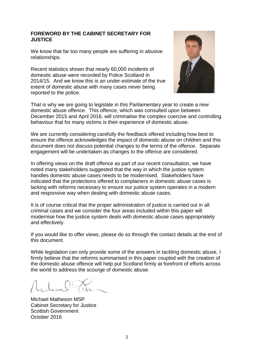# **FOREWORD BY THE CABINET SECRETARY FOR JUSTICE**

We know that far too many people are suffering in abusive relationships.

Recent statistics shown that nearly 60,000 incidents of domestic abuse were recorded by Police Scotland in 2014/15. And we know this is an under-estimate of the true extent of domestic abuse with many cases never being reported to the police.



That is why we are going to legislate in this Parliamentary year to create a new domestic abuse offence. This offence, which was consulted upon between December 2015 and April 2016, will criminalise the complex coercive and controlling behaviour that for many victims is their experience of domestic abuse.

We are currently considering carefully the feedback offered including how best to ensure the offence acknowledges the impact of domestic abuse on children and this document does not discuss potential changes to the terms of the offence. Separate engagement will be undertaken as changes to the offence are considered.

In offering views on the draft offence as part of our recent consultation, we have noted many stakeholders suggested that the way in which the justice system handles domestic abuse cases needs to be modernised. Stakeholders have indicated that the protections offered to complainers in domestic abuse cases is lacking with reforms necessary to ensure our justice system operates in a modern and responsive way when dealing with domestic abuse cases.

It is of course critical that the proper administration of justice is carried out in all criminal cases and we consider the four areas included within this paper will modernise how the justice system deals with domestic abuse cases appropriately and effectively.

If you would like to offer views, please do so through the contact details at the end of this document.

While legislation can only provide some of the answers in tackling domestic abuse, I firmly believe that the reforms summarised in this paper coupled with the creation of the domestic abuse offence will help put Scotland firmly at forefront of efforts across the world to address the scourge of domestic abuse.

Michael Matheson MSP Cabinet Secretary for Justice Scottish Government October 2016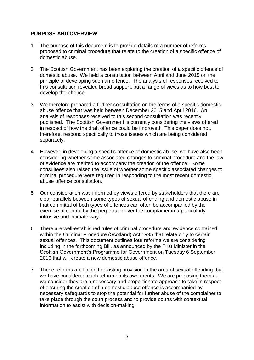# **PURPOSE AND OVERVIEW**

- 1 The purpose of this document is to provide details of a number of reforms proposed to criminal procedure that relate to the creation of a specific offence of domestic abuse.
- 2 The Scottish Government has been exploring the creation of a specific offence of domestic abuse. We held a consultation between April and June 2015 on the principle of developing such an offence. The analysis of responses received to this consultation revealed broad support, but a range of views as to how best to develop the offence.
- 3 We therefore prepared a further consultation on the terms of a specific domestic abuse offence that was held between December 2015 and April 2016. An analysis of responses received to this second consultation was recently published. The Scottish Government is currently considering the views offered in respect of how the draft offence could be improved. This paper does not, therefore, respond specifically to those issues which are being considered separately.
- 4 However, in developing a specific offence of domestic abuse, we have also been considering whether some associated changes to criminal procedure and the law of evidence are merited to accompany the creation of the offence. Some consultees also raised the issue of whether some specific associated changes to criminal procedure were required in responding to the most recent domestic abuse offence consultation.
- 5 Our consideration was informed by views offered by stakeholders that there are clear parallels between some types of sexual offending and domestic abuse in that committal of both types of offences can often be accompanied by the exercise of control by the perpetrator over the complainer in a particularly intrusive and intimate way.
- 6 There are well-established rules of criminal procedure and evidence contained within the Criminal Procedure (Scotland) Act 1995 that relate only to certain sexual offences. This document outlines four reforms we are considering including in the forthcoming Bill, as announced by the First Minister in the Scottish Government"s Programme for Government on Tuesday 6 September 2016 that will create a new domestic abuse offence.
- 7 These reforms are linked to existing provision in the area of sexual offending, but we have considered each reform on its own merits. We are proposing them as we consider they are a necessary and proportionate approach to take in respect of ensuring the creation of a domestic abuse offence is accompanied by necessary safeguards to stop the potential for further abuse of the complainer to take place through the court process and to provide courts with contextual information to assist with decision-making.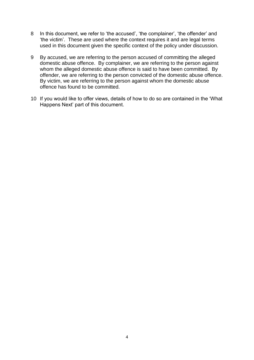- 8 In this document, we refer to 'the accused', 'the complainer', 'the offender' and "the victim". These are used where the context requires it and are legal terms used in this document given the specific context of the policy under discussion.
- 9 By accused, we are referring to the person accused of committing the alleged domestic abuse offence. By complainer, we are referring to the person against whom the alleged domestic abuse offence is said to have been committed. By offender, we are referring to the person convicted of the domestic abuse offence. By victim, we are referring to the person against whom the domestic abuse offence has found to be committed.
- 10 If you would like to offer views, details of how to do so are contained in the "What Happens Next" part of this document.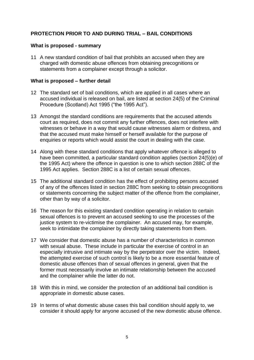# **PROTECTION PRIOR TO AND DURING TRIAL – BAIL CONDITIONS**

# **What is proposed - summary**

11 A new standard condition of bail that prohibits an accused when they are charged with domestic abuse offences from obtaining precognitions or statements from a complainer except through a solicitor.

### **What is proposed – further detail**

- 12 The standard set of bail conditions, which are applied in all cases where an accused individual is released on bail, are listed at section 24(5) of the Criminal Procedure (Scotland) Act 1995 ("the 1995 Act").
- 13 Amongst the standard conditions are requirements that the accused attends court as required, does not commit any further offences, does not interfere with witnesses or behave in a way that would cause witnesses alarm or distress, and that the accused must make himself or herself available for the purpose of enquiries or reports which would assist the court in dealing with the case.
- 14 Along with these standard conditions that apply whatever offence is alleged to have been committed, a particular standard condition applies (section 24(5)(e) of the 1995 Act) where the offence in question is one to which section 288C of the 1995 Act applies. Section 288C is a list of certain sexual offences.
- 15 The additional standard condition has the effect of prohibiting persons accused of any of the offences listed in section 288C from seeking to obtain precognitions or statements concerning the subject matter of the offence from the complainer, other than by way of a solicitor.
- 16 The reason for this existing standard condition operating in relation to certain sexual offences is to prevent an accused seeking to use the processes of the justice system to re-victimise the complainer. An accused may, for example, seek to intimidate the complainer by directly taking statements from them.
- 17 We consider that domestic abuse has a number of characteristics in common with sexual abuse. These include in particular the exercise of control in an especially intrusive and intimate way by the perpetrator over the victim. Indeed, the attempted exercise of such control is likely to be a more essential feature of domestic abuse offences than of sexual offences in general, given that the former must necessarily involve an intimate relationship between the accused and the complainer while the latter do not.
- 18 With this in mind, we consider the protection of an additional bail condition is appropriate in domestic abuse cases.
- 19 In terms of what domestic abuse cases this bail condition should apply to, we consider it should apply for anyone accused of the new domestic abuse offence.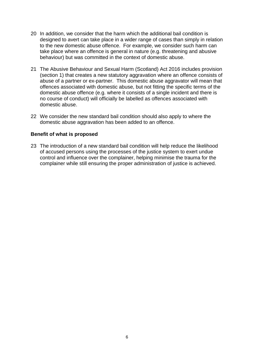- 20 In addition, we consider that the harm which the additional bail condition is designed to avert can take place in a wider range of cases than simply in relation to the new domestic abuse offence. For example, we consider such harm can take place where an offence is general in nature (e.g. threatening and abusive behaviour) but was committed in the context of domestic abuse.
- 21 The Abusive Behaviour and Sexual Harm (Scotland) Act 2016 includes provision (section 1) that creates a new statutory aggravation where an offence consists of abuse of a partner or ex-partner. This domestic abuse aggravator will mean that offences associated with domestic abuse, but not fitting the specific terms of the domestic abuse offence (e.g. where it consists of a single incident and there is no course of conduct) will officially be labelled as offences associated with domestic abuse.
- 22 We consider the new standard bail condition should also apply to where the domestic abuse aggravation has been added to an offence.

# **Benefit of what is proposed**

23 The introduction of a new standard bail condition will help reduce the likelihood of accused persons using the processes of the justice system to exert undue control and influence over the complainer, helping minimise the trauma for the complainer while still ensuring the proper administration of justice is achieved.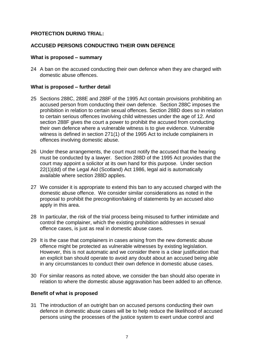# **PROTECTION DURING TRIAL:**

# **ACCUSED PERSONS CONDUCTING THEIR OWN DEFENCE**

# **What is proposed – summary**

24 A ban on the accused conducting their own defence when they are charged with domestic abuse offences.

# **What is proposed – further detail**

- 25 Sections 288C, 288E and 288F of the 1995 Act contain provisions prohibiting an accused person from conducting their own defence. Section 288C imposes the prohibition in relation to certain sexual offences. Section 288D does so in relation to certain serious offences involving child witnesses under the age of 12. And section 288F gives the court a power to prohibit the accused from conducting their own defence where a vulnerable witness is to give evidence. Vulnerable witness is defined in section 271(1) of the 1995 Act to include complainers in offences involving domestic abuse.
- 26 Under these arrangements, the court must notify the accused that the hearing must be conducted by a lawyer. Section 288D of the 1995 Act provides that the court may appoint a solicitor at its own hand for this purpose. Under section 22(1)(dd) of the Legal Aid (Scotland) Act 1986, legal aid is automatically available where section 288D applies.
- 27 We consider it is appropriate to extend this ban to any accused charged with the domestic abuse offence. We consider similar considerations as noted in the proposal to prohibit the precognition/taking of statements by an accused also apply in this area.
- 28 In particular, the risk of the trial process being misused to further intimidate and control the complainer, which the existing prohibition addresses in sexual offence cases, is just as real in domestic abuse cases.
- 29 It is the case that complainers in cases arising from the new domestic abuse offence might be protected as vulnerable witnesses by existing legislation. However, this is not automatic and we consider there is a clear justification that an explicit ban should operate to avoid any doubt about an accused being able in any circumstances to conduct their own defence in domestic abuse cases.
- 30 For similar reasons as noted above, we consider the ban should also operate in relation to where the domestic abuse aggravation has been added to an offence.

# **Benefit of what is proposed**

31 The introduction of an outright ban on accused persons conducting their own defence in domestic abuse cases will be to help reduce the likelihood of accused persons using the processes of the justice system to exert undue control and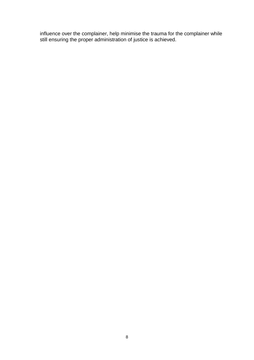influence over the complainer, help minimise the trauma for the complainer while still ensuring the proper administration of justice is achieved.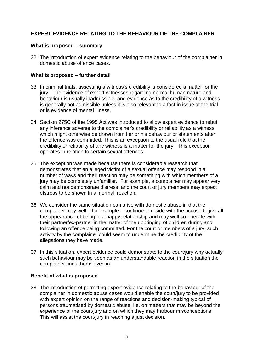# **EXPERT EVIDENCE RELATING TO THE BEHAVIOUR OF THE COMPLAINER**

# **What is proposed – summary**

32 The introduction of expert evidence relating to the behaviour of the complainer in domestic abuse offence cases.

# **What is proposed – further detail**

- 33 In criminal trials, assessing a witness"s credibility is considered a matter for the jury. The evidence of expert witnesses regarding normal human nature and behaviour is usually inadmissible, and evidence as to the credibility of a witness is generally not admissible unless it is also relevant to a fact in issue at the trial or is evidence of mental illness.
- 34 Section 275C of the 1995 Act was introduced to allow expert evidence to rebut any inference adverse to the complainer's credibility or reliability as a witness which might otherwise be drawn from her or his behaviour or statements after the offence was committed. This is an exception to the usual rule that the credibility or reliability of any witness is a matter for the jury. This exception operates in relation to certain sexual offences.
- 35 The exception was made because there is considerable research that demonstrates that an alleged victim of a sexual offence may respond in a number of ways and their reaction may be something with which members of a jury may be completely unfamiliar. For example, a complainer may appear very calm and not demonstrate distress, and the court or jury members may expect distress to be shown in a 'normal' reaction.
- 36 We consider the same situation can arise with domestic abuse in that the complainer may well – for example – continue to reside with the accused, give all the appearance of being in a happy relationship and may well co-operate with their partner/ex-partner in the matter of the upbringing of children during and following an offence being committed. For the court or members of a jury, such activity by the complainer could seem to undermine the credibility of the allegations they have made.
- 37 In this situation, expert evidence could demonstrate to the court/jury why actually such behaviour may be seen as an understandable reaction in the situation the complainer finds themselves in.

# **Benefit of what is proposed**

38 The introduction of permitting expert evidence relating to the behaviour of the complainer in domestic abuse cases would enable the court/jury to be provided with expert opinion on the range of reactions and decision-making typical of persons traumatised by domestic abuse, i.e. on matters that may be beyond the experience of the court/jury and on which they may harbour misconceptions. This will assist the court/jury in reaching a just decision.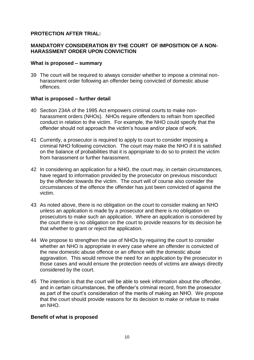# **PROTECTION AFTER TRIAL:**

# **MANDATORY CONSIDERATION BY THE COURT OF IMPOSITION OF A NON-HARASSMENT ORDER UPON CONVICTION**

# **What is proposed – summary**

39 The court will be required to always consider whether to impose a criminal nonharassment order following an offender being convicted of domestic abuse offences.

# **What is proposed – further detail**

- 40 Section 234A of the 1995 Act empowers criminal courts to make nonharassment orders (NHOs). NHOs require offenders to refrain from specified conduct in relation to the victim. For example, the NHO could specify that the offender should not approach the victim"s house and/or place of work.
- 41 Currently, a prosecutor is required to apply to court to consider imposing a criminal NHO following conviction. The court may make the NHO if it is satisfied on the balance of probabilities that it is appropriate to do so to protect the victim from harassment or further harassment.
- 42 In considering an application for a NHO, the court may, in certain circumstances, have regard to information provided by the prosecutor on previous misconduct by the offender towards the victim. The court will of course also consider the circumstances of the offence the offender has just been convicted of against the victim.
- 43 As noted above, there is no obligation on the court to consider making an NHO unless an application is made by a prosecutor and there is no obligation on prosecutors to make such an application. Where an application is considered by the court there is no obligation on the court to provide reasons for its decision be that whether to grant or reject the application.
- 44 We propose to strengthen the use of NHOs by requiring the court to consider whether an NHO is appropriate in every case where an offender is convicted of the new domestic abuse offence or an offence with the domestic abuse aggravation. This would remove the need for an application by the prosecutor in those cases and would ensure the protection needs of victims are always directly considered by the court.
- 45 The intention is that the court will be able to seek information about the offender, and in certain circumstances, the offender"s criminal record, from the prosecutor as part of the court's consideration of the merits of making an NHO. We propose that the court should provide reasons for its decision to make or refuse to make an NHO.

# **Benefit of what is proposed**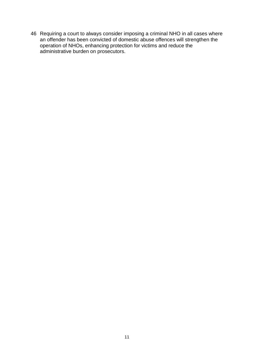46 Requiring a court to always consider imposing a criminal NHO in all cases where an offender has been convicted of domestic abuse offences will strengthen the operation of NHOs, enhancing protection for victims and reduce the administrative burden on prosecutors.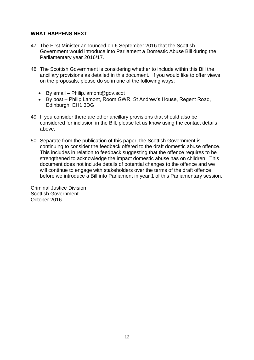# **WHAT HAPPENS NEXT**

- 47 The First Minister announced on 6 September 2016 that the Scottish Government would introduce into Parliament a Domestic Abuse Bill during the Parliamentary year 2016/17.
- 48 The Scottish Government is considering whether to include within this Bill the ancillary provisions as detailed in this document. If you would like to offer views on the proposals, please do so in one of the following ways:
	- $\bullet$  By email Philip.lamont@gov.scot
	- By post Philip Lamont, Room GWR, St Andrew"s House, Regent Road, Edinburgh, EH1 3DG
- 49 If you consider there are other ancillary provisions that should also be considered for inclusion in the Bill, please let us know using the contact details above.
- 50 Separate from the publication of this paper, the Scottish Government is continuing to consider the feedback offered to the draft domestic abuse offence. This includes in relation to feedback suggesting that the offence requires to be strengthened to acknowledge the impact domestic abuse has on children. This document does not include details of potential changes to the offence and we will continue to engage with stakeholders over the terms of the draft offence before we introduce a Bill into Parliament in year 1 of this Parliamentary session.

Criminal Justice Division Scottish Government October 2016